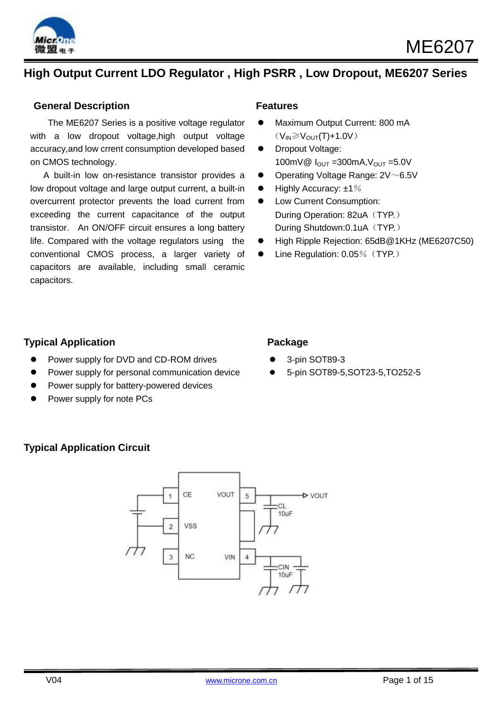

# **High Output Current LDO Regulator , High PSRR , Low Dropout, ME6207 Series**

#### **General Description Features**

The ME6207 Series is a positive voltage regulator with a low dropout voltage, high output voltage accuracy,and low crrent consumption developed based on CMOS technology.

 A built-in low on-resistance transistor provides a low dropout voltage and large output current, a built-in overcurrent protector prevents the load current from exceeding the current capacitance of the output transistor. An ON/OFF circuit ensures a long battery life. Compared with the voltage regulators using the conventional CMOS process, a larger variety of capacitors are available, including small ceramic capacitors.

- Maximum Output Current: 800 mA  $(V_{IN} \geq V_{OUT}(T) + 1.0V)$
- Dropout Voltage: 100mV@  $I_{\text{OUT}} = 300$ mA, $V_{\text{OUT}} = 5.0V$
- Operating Voltage Range: 2V~6.5V
- Highly Accuracy: ±1%
- Low Current Consumption: During Operation: 82uA (TYP.) During Shutdown: 0.1uA (TYP.)
- High Ripple Rejection: 65dB@1KHz (ME6207C50)
- Line Regulation: 0.05% (TYP.)

#### **Typical Application Contract Contract Package Package**

- Power supply for DVD and CD-ROM drives
- Power supply for personal communication device
- Power supply for battery-powered devices
- Power supply for note PCs

- 3-pin SOT89-3
- 5-pin SOT89-5,SOT23-5,TO252-5



### **Typical Application Circuit**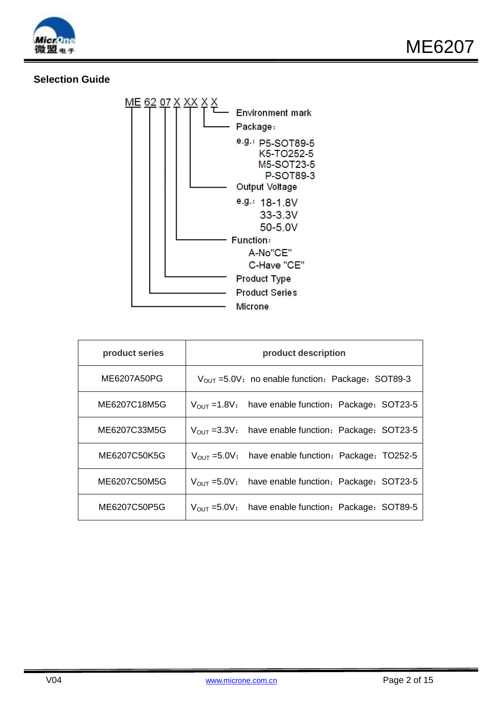

## **Selection Guide**



| product series | product description                                                  |
|----------------|----------------------------------------------------------------------|
| ME6207A50PG    | $V_{OUT}$ =5.0V; no enable function; Package: SOT89-3                |
| ME6207C18M5G   | $V_{\text{OUT}}$ =1.8V; have enable function; Package: SOT23-5       |
| ME6207C33M5G   | $V_{\text{OUT}}$ =3.3V; have enable function; Package: SOT23-5       |
| ME6207C50K5G   | have enable function, Package: TO252-5<br>$V_{\text{OUT}} = 5.0 V$ ; |
| ME6207C50M5G   | $V_{\text{OUT}} = 5.0 V$ ;<br>have enable function; Package: SOT23-5 |
| ME6207C50P5G   | $V_{\text{OUT}}$ =5.0V; have enable function; Package: SOT89-5       |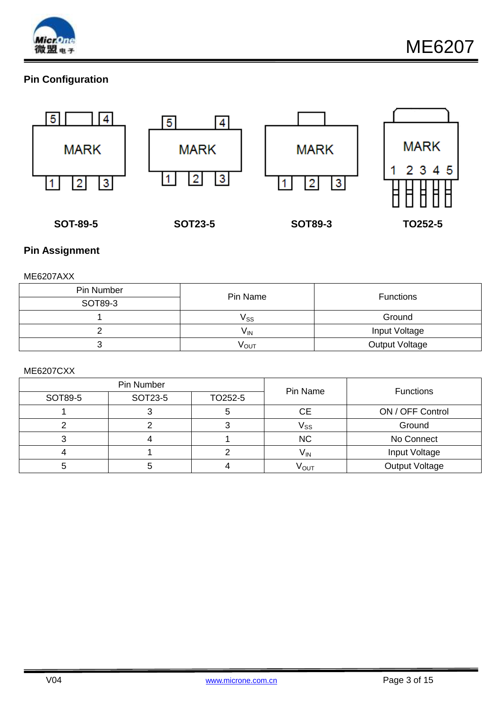

## **Pin Configuration**



# **Pin Assignment**

ME6207AXX

| Pin Number | Pin Name                   | <b>Functions</b>      |  |
|------------|----------------------------|-----------------------|--|
| SOT89-3    |                            |                       |  |
|            | $\mathsf{V}_{\mathsf{SS}}$ | Ground                |  |
|            | $V_{\text{IN}}$            | Input Voltage         |  |
|            | Ѵ <sub>оυт</sub>           | <b>Output Voltage</b> |  |

ME6207CXX

| Pin Number |         | Pin Name | <b>Functions</b>           |                       |
|------------|---------|----------|----------------------------|-----------------------|
| SOT89-5    | SOT23-5 | TO252-5  |                            |                       |
|            |         |          | <b>CE</b>                  | ON / OFF Control      |
|            |         |          | $\mathsf{V}_{\mathsf{SS}}$ | Ground                |
|            |         |          | <b>NC</b>                  | No Connect            |
|            |         |          | V <sub>IN</sub>            | Input Voltage         |
|            |         |          | V <sub>ουτ</sub>           | <b>Output Voltage</b> |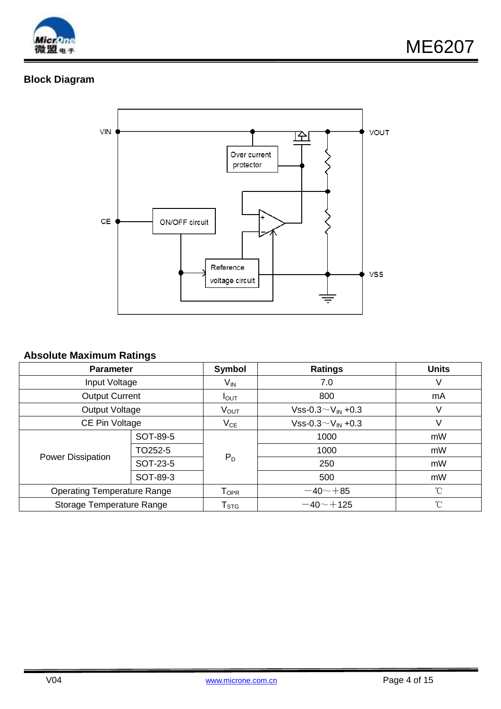

# **Block Diagram**



#### **Absolute Maximum Ratings**

| <b>Parameter</b>                   |          | <b>Symbol</b>                | <b>Ratings</b>                      | <b>Units</b> |
|------------------------------------|----------|------------------------------|-------------------------------------|--------------|
| Input Voltage                      |          | $V_{\mathsf{IN}}$            | 7.0                                 | V            |
| <b>Output Current</b>              |          | $I_{\text{OUT}}$             | 800                                 | mA           |
| Output Voltage                     |          | Ѵ <sub>оυт</sub>             | Vss-0.3 $\sim$ V <sub>IN</sub> +0.3 | V            |
| CE Pin Voltage                     |          | $V_{CE}$                     | Vss-0.3 $\sim$ V <sub>IN</sub> +0.3 | V            |
|                                    | SOT-89-5 |                              | 1000                                | mW           |
|                                    | TO252-5  |                              | 1000                                | mW           |
| <b>Power Dissipation</b>           | SOT-23-5 | $P_D$                        | 250                                 | mW           |
|                                    | SOT-89-3 |                              | 500                                 | mW           |
| <b>Operating Temperature Range</b> |          | ${\mathsf T}_{\mathsf{OPR}}$ | $-40 - +85$                         | $^{\circ}$ C |
| Storage Temperature Range          |          | $\mathsf{T}_{\texttt{STG}}$  | $-40 - +125$                        | $^{\circ}$ C |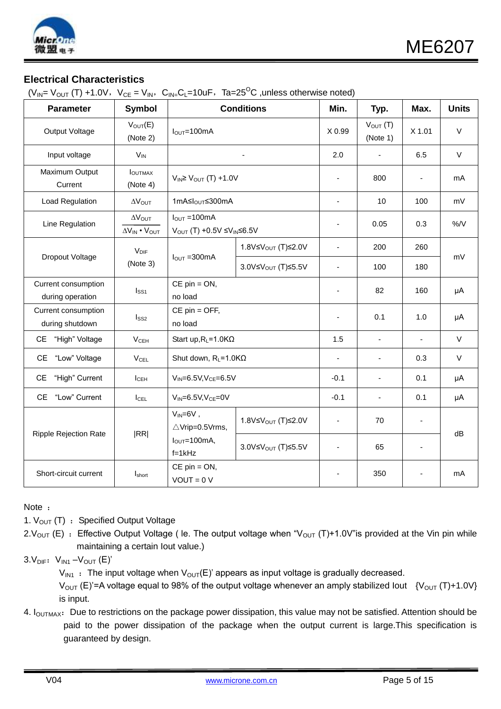

## **Electrical Characteristics**

( $V_{IN}=V_{OUT}$  (T) +1.0V,  $V_{CE} = V_{IN}$ ,  $C_{IN}=C_L=10u$ F, Ta=25<sup>O</sup>C ,unless otherwise noted)

| <b>Parameter</b>                        | <b>Symbol</b>                                          |                                                                                                | <b>Conditions</b>                | Min.                           | Typ.                      | Max.                     | <b>Units</b> |    |
|-----------------------------------------|--------------------------------------------------------|------------------------------------------------------------------------------------------------|----------------------------------|--------------------------------|---------------------------|--------------------------|--------------|----|
| Output Voltage                          | $V_{OUT}(E)$<br>(Note 2)                               | $IOUT=100mA$                                                                                   |                                  |                                | $V_{OUT}$ (T)<br>(Note 1) | X 1.01                   | $\vee$       |    |
| Input voltage                           | $V_{IN}$                                               |                                                                                                |                                  | 2.0                            | $\sim$                    | 6.5                      | $\vee$       |    |
| Maximum Output<br>Current               | <b>IOUTMAX</b><br>(Note 4)                             | $V_{IN} \geq V_{OUT} (T) + 1.0 V$                                                              |                                  | $\blacksquare$                 | 800                       | $\overline{\phantom{a}}$ | mA           |    |
| Load Regulation                         | $\Delta V_{\text{OUT}}$                                | 1mA≤l <sub>OUT</sub> ≤300mA                                                                    |                                  | $\overline{\phantom{a}}$       | 10                        | 100                      | mV           |    |
| Line Regulation                         | $\Delta V_{\text{OUT}}$<br>$\Delta V_{IN}$ . $V_{OUT}$ | $I_{\text{OUT}} = 100 \text{mA}$<br>$V_{OUT}$ (T) +0.5V $\leq$ V <sub>IN</sub> $\leq$ 6.5V     |                                  |                                | 0.05                      | 0.3                      | $\%$ /V      |    |
|                                         | V <sub>DIF</sub>                                       |                                                                                                | 1.8V≤V <sub>OUT</sub> (T)≤2.0V   | $\blacksquare$                 | 200                       | 260                      |              |    |
| Dropout Voltage                         | (Note 3)                                               |                                                                                                | $I_{\text{OUT}} = 300 \text{mA}$ | 3.0V≤V <sub>OUT</sub> (T)≤5.5V | $\blacksquare$            | 100                      | 180          | mV |
| Current consumption<br>during operation | I <sub>SS1</sub>                                       | $CE$ pin = $ON$ ,<br>no load                                                                   |                                  |                                | 82                        | 160                      | μA           |    |
| Current consumption<br>during shutdown  | $I_{SS2}$                                              | $CE$ pin = OFF,<br>no load                                                                     |                                  | ÷,                             | 0.1                       | 1.0                      | μA           |    |
| "High" Voltage<br>CE                    | V <sub>CEH</sub>                                       | Start up, $R_L = 1.0 K\Omega$                                                                  |                                  | 1.5                            | $\blacksquare$            | $\overline{\phantom{a}}$ | $\vee$       |    |
| "Low" Voltage<br><b>CE</b>              | $V_{\text{CEL}}$                                       | Shut down, $R_L = 1.0 K\Omega$                                                                 |                                  | $\sim$                         | $\blacksquare$            | 0.3                      | $\vee$       |    |
| "High" Current<br>CE.                   | $I_{\text{CEH}}$                                       | $V_{IN} = 6.5 V, V_{CE} = 6.5 V$                                                               |                                  | $-0.1$                         | $\overline{\phantom{a}}$  | 0.1                      | μA           |    |
| "Low" Current<br>CE.                    | ICEL                                                   | $V_{IN}=6.5V, V_{CE}=0V$                                                                       |                                  |                                | $\overline{\phantom{a}}$  | 0.1                      | μA           |    |
|                                         |                                                        | $V_{IN} = 6V$ ,<br>$\triangle$ Vrip=0.5Vrms,<br>$I_{\text{OUT}} = 100 \text{mA}$ ,<br>$f=1kHz$ | 1.8V≤V <sub>OUT</sub> (T)≤2.0V   | $\blacksquare$                 | 70                        | $\overline{\phantom{a}}$ |              |    |
| <b>Ripple Rejection Rate</b>            | RR                                                     |                                                                                                | 3.0V≤V <sub>OUT</sub> (T)≤5.5V   | $\blacksquare$                 | 65                        | $\overline{\phantom{a}}$ | dB           |    |
| Short-circuit current                   | Ishort                                                 | $CE$ pin = $ON$ ,<br>$VOUT = 0 V$                                                              |                                  | $\overline{\phantom{a}}$       | 350                       | $\overline{\phantom{a}}$ | mA           |    |

Note :

1.  $V_{OUT}$  (T) : Specified Output Voltage

2. V<sub>OUT</sub> (E) : Effective Output Voltage ( le. The output voltage when "V<sub>OUT</sub> (T)+1.0V" is provided at the Vin pin while maintaining a certain Iout value.)

 $3.V<sub>DIF</sub>: V<sub>IN1</sub> - V<sub>OUT</sub> (E)'$ 

 $V_{1N1}$  : The input voltage when  $V_{OUT}(E)$ ' appears as input voltage is gradually decreased.

 $V_{OUT}$  (E)'=A voltage equal to 98% of the output voltage whenever an amply stabilized lout  $\{V_{OUT} (T)+1.0V\}$ is input.

4. I<sub>OUTMAX</sub>: Due to restrictions on the package power dissipation, this value may not be satisfied. Attention should be paid to the power dissipation of the package when the output current is large.This specification is guaranteed by design.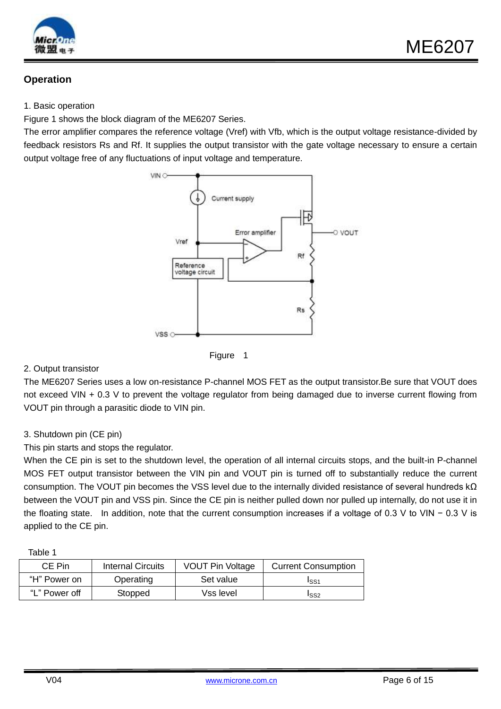

## **Operation**

1. Basic operation

Figure 1 shows the block diagram of the ME6207 Series.

The error amplifier compares the reference voltage (Vref) with Vfb, which is the output voltage resistance-divided by feedback resistors Rs and Rf. It supplies the output transistor with the gate voltage necessary to ensure a certain output voltage free of any fluctuations of input voltage and temperature.





#### 2. Output transistor

The ME6207 Series uses a low on-resistance P-channel MOS FET as the output transistor.Be sure that VOUT does not exceed VIN + 0.3 V to prevent the voltage regulator from being damaged due to inverse current flowing from VOUT pin through a parasitic diode to VIN pin.

#### 3. Shutdown pin (CE pin)

This pin starts and stops the regulator.

When the CE pin is set to the shutdown level, the operation of all internal circuits stops, and the built-in P-channel MOS FET output transistor between the VIN pin and VOUT pin is turned off to substantially reduce the current consumption. The VOUT pin becomes the VSS level due to the internally divided resistance of several hundreds kΩ between the VOUT pin and VSS pin. Since the CE pin is neither pulled down nor pulled up internally, do not use it in the floating state. In addition, note that the current consumption increases if a voltage of 0.3 V to VIN − 0.3 V is applied to the CE pin.

| г | e.<br>L<br>. . |  |
|---|----------------|--|
|   |                |  |

| CE Pin        | <b>Internal Circuits</b> | <b>VOUT Pin Voltage</b> | <b>Current Consumption</b> |
|---------------|--------------------------|-------------------------|----------------------------|
| "H" Power on  | Operating                | Set value               | ISS1                       |
| "L" Power off | Stopped                  | Vss level               | ISS2                       |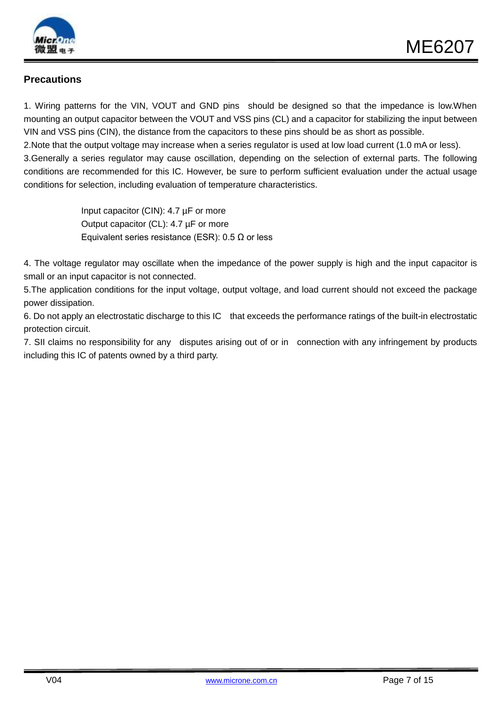

### **Precautions**

1. Wiring patterns for the VIN, VOUT and GND pins should be designed so that the impedance is low.When mounting an output capacitor between the VOUT and VSS pins (CL) and a capacitor for stabilizing the input between VIN and VSS pins (CIN), the distance from the capacitors to these pins should be as short as possible. 2.Note that the output voltage may increase when a series regulator is used at low load current (1.0 mA or less). 3.Generally a series regulator may cause oscillation, depending on the selection of external parts. The following conditions are recommended for this IC. However, be sure to perform sufficient evaluation under the actual usage conditions for selection, including evaluation of temperature characteristics.

> Input capacitor (CIN): 4.7 µF or more Output capacitor (CL): 4.7 µF or more Equivalent series resistance (ESR): 0.5 Ω or less

4. The voltage regulator may oscillate when the impedance of the power supply is high and the input capacitor is small or an input capacitor is not connected.

5.The application conditions for the input voltage, output voltage, and load current should not exceed the package power dissipation.

6. Do not apply an electrostatic discharge to this IC that exceeds the performance ratings of the built-in electrostatic protection circuit.

7. SII claims no responsibility for any disputes arising out of or in connection with any infringement by products including this IC of patents owned by a third party.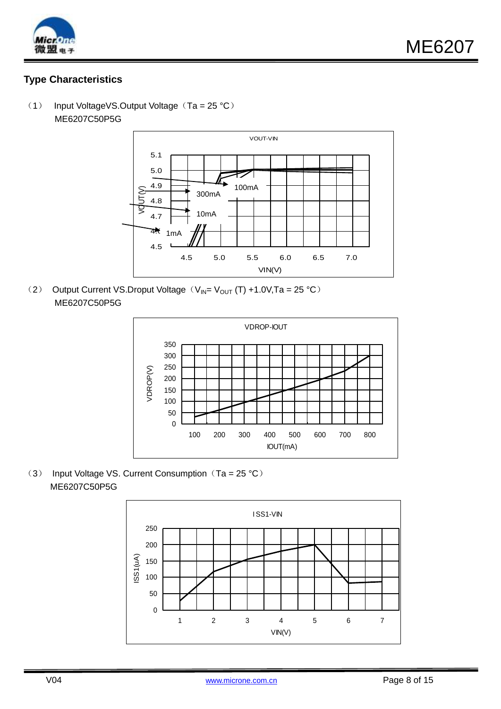

# **Type Characteristics**

(1) Input VoltageVS.Output Voltage (Ta = 25 °C) ME6207C50P5G



(2) Output Current VS.Droput Voltage (V<sub>IN</sub>= V<sub>OUT</sub> (T) +1.0V,Ta = 25 °C) ME6207C50P5G



(3) Input Voltage VS. Current Consumption  $(Ta = 25 °C)$ ME6207C50P5G

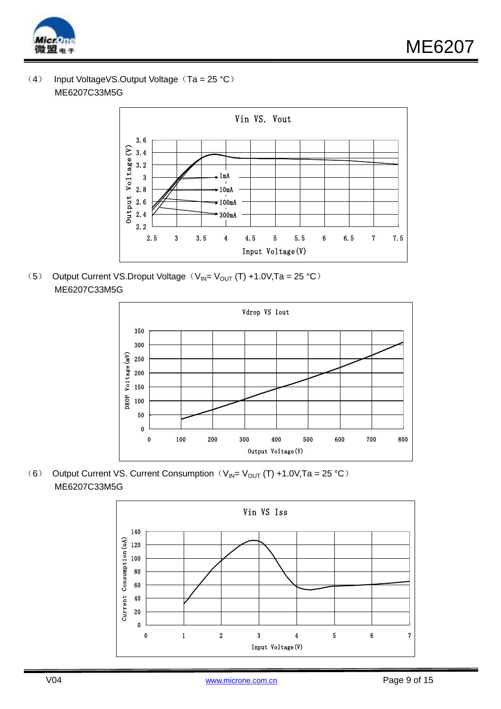

(4) Input VoltageVS.Output Voltage  $(Ta = 25 °C)$ ME6207C33M5G



(5) Output Current VS.Droput Voltage (V<sub>IN</sub>= V<sub>OUT</sub> (T) +1.0V,Ta = 25 °C) ME6207C33M5G



(6) Output Current VS. Current Consumption ( $V_{IN} = V_{OUT} (T) +1.0V$ , Ta = 25 °C) ME6207C33M5G

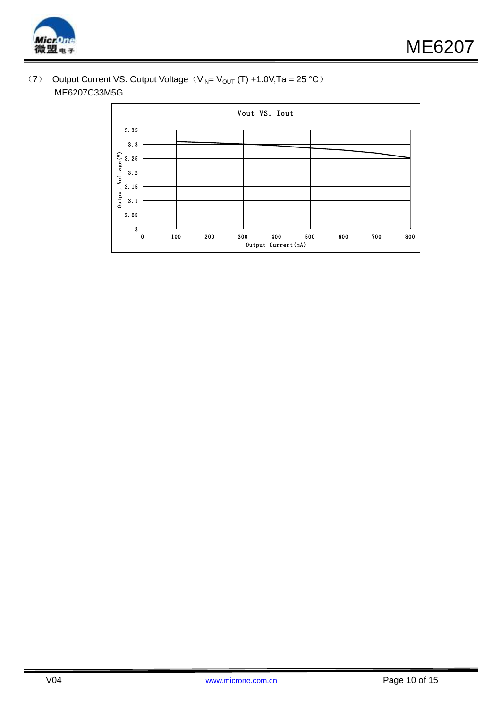

### (7) Output Current VS. Output Voltage ( $V_{IN} = V_{OUT} (T) +1.0V$ , Ta = 25 °C) ME6207C33M5G

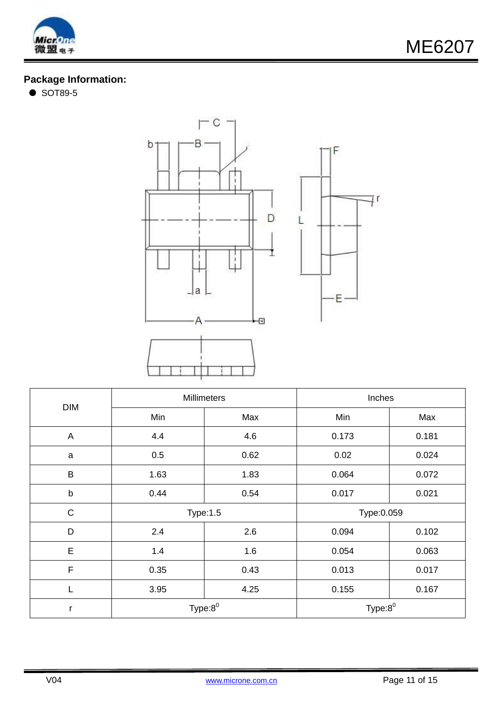

# **Package Information:**

● SOT89-5



| <b>DIM</b>  | Millimeters     |      | Inches     |       |
|-------------|-----------------|------|------------|-------|
|             | Min             | Max  | Min        | Max   |
| A           | 4.4             | 4.6  | 0.173      | 0.181 |
| a           | 0.5             | 0.62 | 0.02       | 0.024 |
| $\sf B$     | 1.63            | 1.83 | 0.064      | 0.072 |
| $\mathsf b$ | 0.44            | 0.54 | 0.017      | 0.021 |
| $\mathsf C$ | <b>Type:1.5</b> |      | Type:0.059 |       |
| D           | 2.4             | 2.6  | 0.094      | 0.102 |
| E           | 1.4             | 1.6  | 0.054      | 0.063 |
| $\mathsf F$ | 0.35            | 0.43 | 0.013      | 0.017 |
| L           | 3.95            | 4.25 | 0.155      | 0.167 |
| r           | $Type:8^0$      |      | $Type:8^0$ |       |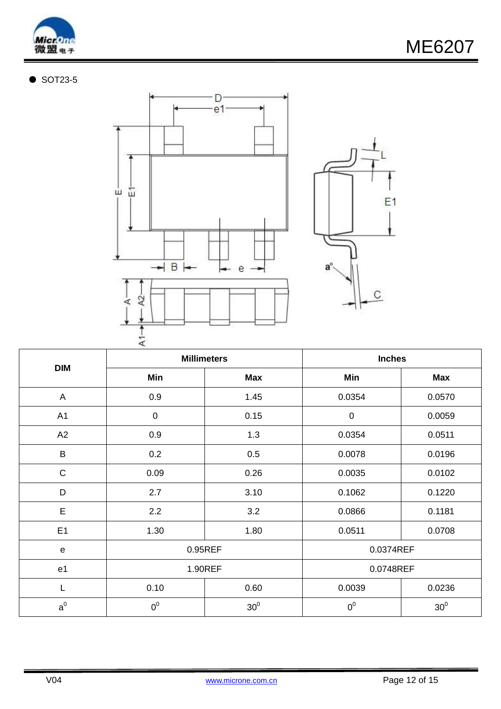

## ● SOT23-5



| ⋖              |                    |                 |                |                 |
|----------------|--------------------|-----------------|----------------|-----------------|
| <b>DIM</b>     | <b>Millimeters</b> |                 | <b>Inches</b>  |                 |
|                | Min                | <b>Max</b>      | Min            | <b>Max</b>      |
| $\mathsf{A}$   | 0.9                | 1.45            | 0.0354         | 0.0570          |
| A1             | $\pmb{0}$          | 0.15            | $\pmb{0}$      | 0.0059          |
| A2             | 0.9                | 1.3             | 0.0354         | 0.0511          |
| $\sf B$        | 0.2                | 0.5             | 0.0078         | 0.0196          |
| $\mathsf{C}$   | 0.09               | 0.26            | 0.0035         | 0.0102          |
| D              | 2.7                | 3.10            | 0.1062         | 0.1220          |
| E              | 2.2                | 3.2             | 0.0866         | 0.1181          |
| E1             | 1.30               | 1.80            | 0.0511         | 0.0708          |
| ${\bf e}$      | 0.95REF            |                 | 0.0374REF      |                 |
| e <sub>1</sub> | 1.90REF            |                 | 0.0748REF      |                 |
| L              | 0.10               | 0.60            | 0.0039         | 0.0236          |
| $a^0$          | $0^0$              | 30 <sup>0</sup> | 0 <sup>0</sup> | 30 <sup>0</sup> |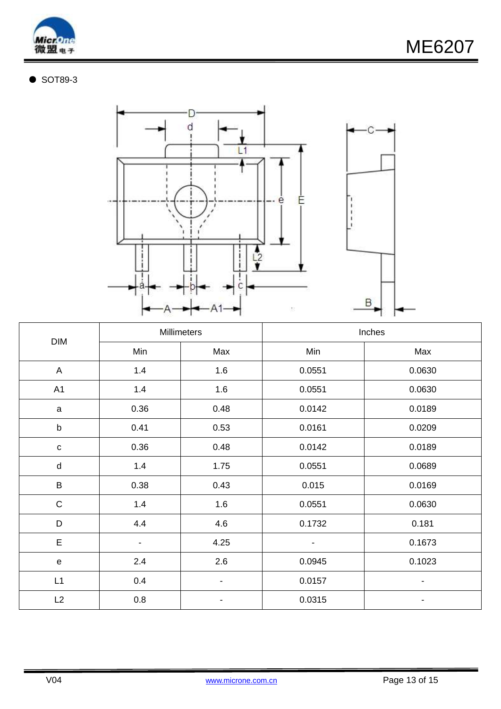

## ● SOT89-3



|              | Millimeters |                              | Inches |                |
|--------------|-------------|------------------------------|--------|----------------|
| <b>DIM</b>   | Min         | Max                          | Min    | Max            |
| $\mathsf{A}$ | 1.4         | 1.6                          | 0.0551 | 0.0630         |
| A1           | 1.4         | 1.6                          | 0.0551 | 0.0630         |
| $\mathsf{a}$ | 0.36        | 0.48                         | 0.0142 | 0.0189         |
| $\sf b$      | 0.41        | 0.53                         | 0.0161 | 0.0209         |
| $\mathbf C$  | 0.36        | 0.48                         | 0.0142 | 0.0189         |
| ${\sf d}$    | 1.4         | 1.75                         | 0.0551 | 0.0689         |
| $\sf B$      | 0.38        | 0.43                         | 0.015  | 0.0169         |
| $\mathsf C$  | 1.4         | 1.6                          | 0.0551 | 0.0630         |
| D            | 4.4         | 4.6                          | 0.1732 | 0.181          |
| $\mathsf E$  |             | 4.25                         |        | 0.1673         |
| ${\bf e}$    | 2.4         | 2.6                          | 0.0945 | 0.1023         |
| L1           | 0.4         | $\blacksquare$               | 0.0157 |                |
| L2           | 0.8         | $\qquad \qquad \blacksquare$ | 0.0315 | $\blacksquare$ |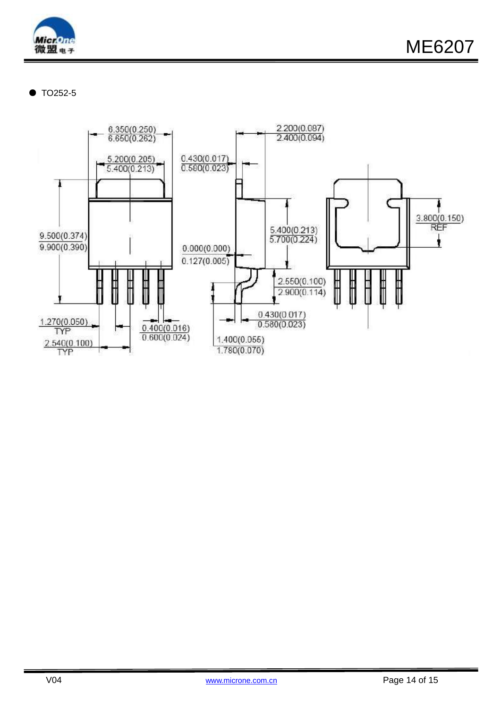

● TO252-5